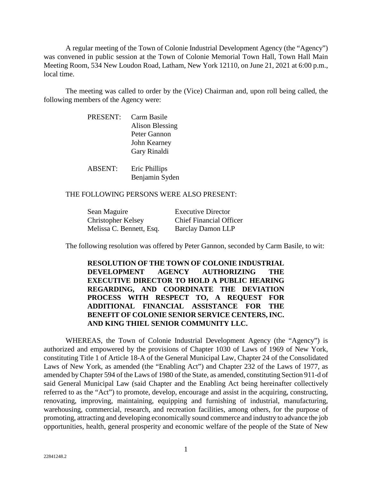A regular meeting of the Town of Colonie Industrial Development Agency (the "Agency") was convened in public session at the Town of Colonie Memorial Town Hall, Town Hall Main Meeting Room, 534 New Loudon Road, Latham, New York 12110, on June 21, 2021 at 6:00 p.m., local time.

The meeting was called to order by the (Vice) Chairman and, upon roll being called, the following members of the Agency were:

> PRESENT: Carm Basile Alison Blessing Peter Gannon John Kearney Gary Rinaldi

ABSENT: Eric Phillips Benjamin Syden

## THE FOLLOWING PERSONS WERE ALSO PRESENT:

| Sean Maguire             | <b>Executive Director</b>      |
|--------------------------|--------------------------------|
| Christopher Kelsey       | <b>Chief Financial Officer</b> |
| Melissa C. Bennett, Esq. | <b>Barclay Damon LLP</b>       |

The following resolution was offered by Peter Gannon, seconded by Carm Basile, to wit:

**RESOLUTION OF THE TOWN OF COLONIE INDUSTRIAL DEVELOPMENT AGENCY AUTHORIZING THE EXECUTIVE DIRECTOR TO HOLD A PUBLIC HEARING REGARDING, AND COORDINATE THE DEVIATION PROCESS WITH RESPECT TO, A REQUEST FOR ADDITIONAL FINANCIAL ASSISTANCE FOR THE BENEFIT OF COLONIE SENIOR SERVICE CENTERS, INC. AND KING THIEL SENIOR COMMUNITY LLC.** 

WHEREAS, the Town of Colonie Industrial Development Agency (the "Agency") is authorized and empowered by the provisions of Chapter 1030 of Laws of 1969 of New York, constituting Title 1 of Article 18-A of the General Municipal Law, Chapter 24 of the Consolidated Laws of New York, as amended (the "Enabling Act") and Chapter 232 of the Laws of 1977, as amended by Chapter 594 of the Laws of 1980 of the State, as amended, constituting Section 911-d of said General Municipal Law (said Chapter and the Enabling Act being hereinafter collectively referred to as the "Act") to promote, develop, encourage and assist in the acquiring, constructing, renovating, improving, maintaining, equipping and furnishing of industrial, manufacturing, warehousing, commercial, research, and recreation facilities, among others, for the purpose of promoting, attracting and developing economically sound commerce and industry to advance the job opportunities, health, general prosperity and economic welfare of the people of the State of New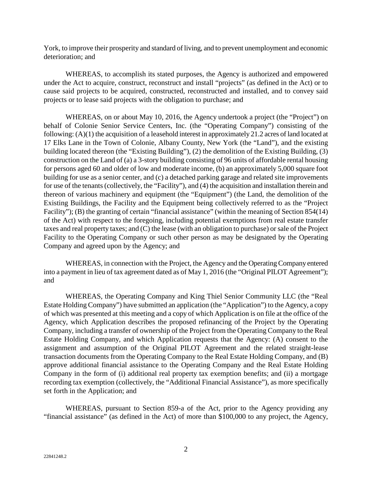York, to improve their prosperity and standard of living, and to prevent unemployment and economic deterioration; and

WHEREAS, to accomplish its stated purposes, the Agency is authorized and empowered under the Act to acquire, construct, reconstruct and install "projects" (as defined in the Act) or to cause said projects to be acquired, constructed, reconstructed and installed, and to convey said projects or to lease said projects with the obligation to purchase; and

WHEREAS, on or about May 10, 2016, the Agency undertook a project (the "Project") on behalf of Colonie Senior Service Centers, Inc. (the "Operating Company") consisting of the following: (A)(1) the acquisition of a leasehold interest in approximately 21.2 acres of land located at 17 Elks Lane in the Town of Colonie, Albany County, New York (the "Land"), and the existing building located thereon (the "Existing Building"), (2) the demolition of the Existing Building, (3) construction on the Land of (a) a 3-story building consisting of 96 units of affordable rental housing for persons aged 60 and older of low and moderate income, (b) an approximately 5,000 square foot building for use as a senior center, and (c) a detached parking garage and related site improvements for use of the tenants (collectively, the "Facility"), and (4) the acquisition and installation therein and thereon of various machinery and equipment (the "Equipment") (the Land, the demolition of the Existing Buildings, the Facility and the Equipment being collectively referred to as the "Project Facility"); (B) the granting of certain "financial assistance" (within the meaning of Section 854(14) of the Act) with respect to the foregoing, including potential exemptions from real estate transfer taxes and real property taxes; and (C) the lease (with an obligation to purchase) or sale of the Project Facility to the Operating Company or such other person as may be designated by the Operating Company and agreed upon by the Agency; and

WHEREAS, in connection with the Project, the Agency and the Operating Company entered into a payment in lieu of tax agreement dated as of May 1, 2016 (the "Original PILOT Agreement"); and

WHEREAS, the Operating Company and King Thiel Senior Community LLC (the "Real Estate Holding Company") have submitted an application (the "Application") to the Agency, a copy of which was presented at this meeting and a copy of which Application is on file at the office of the Agency, which Application describes the proposed refinancing of the Project by the Operating Company, including a transfer of ownership of the Project from the Operating Company to the Real Estate Holding Company, and which Application requests that the Agency: (A) consent to the assignment and assumption of the Original PILOT Agreement and the related straight-lease transaction documents from the Operating Company to the Real Estate Holding Company, and (B) approve additional financial assistance to the Operating Company and the Real Estate Holding Company in the form of (i) additional real property tax exemption benefits; and (ii) a mortgage recording tax exemption (collectively, the "Additional Financial Assistance"), as more specifically set forth in the Application; and

WHEREAS, pursuant to Section 859-a of the Act, prior to the Agency providing any "financial assistance" (as defined in the Act) of more than \$100,000 to any project, the Agency,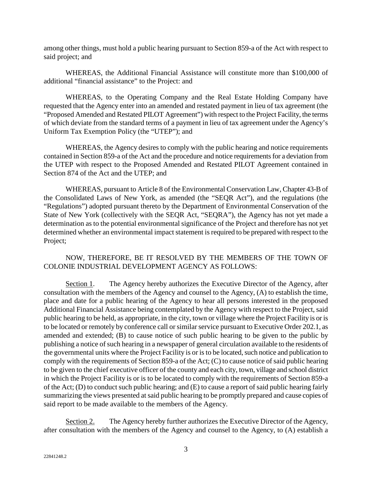among other things, must hold a public hearing pursuant to Section 859-a of the Act with respect to said project; and

WHEREAS, the Additional Financial Assistance will constitute more than \$100,000 of additional "financial assistance" to the Project: and

WHEREAS, to the Operating Company and the Real Estate Holding Company have requested that the Agency enter into an amended and restated payment in lieu of tax agreement (the "Proposed Amended and Restated PILOT Agreement") with respect to the Project Facility, the terms of which deviate from the standard terms of a payment in lieu of tax agreement under the Agency's Uniform Tax Exemption Policy (the "UTEP"); and

WHEREAS, the Agency desires to comply with the public hearing and notice requirements contained in Section 859-a of the Act and the procedure and notice requirements for a deviation from the UTEP with respect to the Proposed Amended and Restated PILOT Agreement contained in Section 874 of the Act and the UTEP; and

WHEREAS, pursuant to Article 8 of the Environmental Conservation Law, Chapter 43-B of the Consolidated Laws of New York, as amended (the "SEQR Act"), and the regulations (the "Regulations") adopted pursuant thereto by the Department of Environmental Conservation of the State of New York (collectively with the SEQR Act, "SEQRA"), the Agency has not yet made a determination as to the potential environmental significance of the Project and therefore has not yet determined whether an environmental impact statement is required to be prepared with respect to the Project;

## NOW, THEREFORE, BE IT RESOLVED BY THE MEMBERS OF THE TOWN OF COLONIE INDUSTRIAL DEVELOPMENT AGENCY AS FOLLOWS:

Section 1. The Agency hereby authorizes the Executive Director of the Agency, after consultation with the members of the Agency and counsel to the Agency, (A) to establish the time, place and date for a public hearing of the Agency to hear all persons interested in the proposed Additional Financial Assistance being contemplated by the Agency with respect to the Project, said public hearing to be held, as appropriate, in the city, town or village where the Project Facility is or is to be located or remotely by conference call or similar service pursuant to Executive Order 202.1, as amended and extended; (B) to cause notice of such public hearing to be given to the public by publishing a notice of such hearing in a newspaper of general circulation available to the residents of the governmental units where the Project Facility is or is to be located, such notice and publication to comply with the requirements of Section 859-a of the Act; (C) to cause notice of said public hearing to be given to the chief executive officer of the county and each city, town, village and school district in which the Project Facility is or is to be located to comply with the requirements of Section 859-a of the Act; (D) to conduct such public hearing; and (E) to cause a report of said public hearing fairly summarizing the views presented at said public hearing to be promptly prepared and cause copies of said report to be made available to the members of the Agency.

Section 2. The Agency hereby further authorizes the Executive Director of the Agency, after consultation with the members of the Agency and counsel to the Agency, to (A) establish a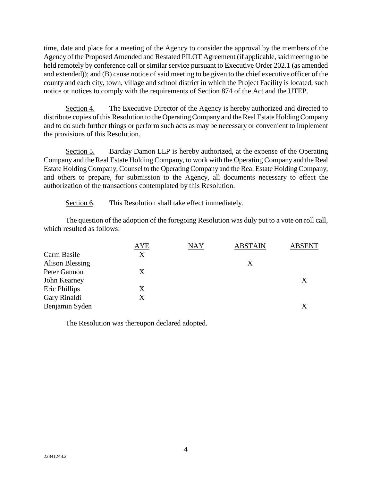time, date and place for a meeting of the Agency to consider the approval by the members of the Agency of the Proposed Amended and Restated PILOT Agreement (if applicable, said meeting to be held remotely by conference call or similar service pursuant to Executive Order 202.1 (as amended and extended)); and (B) cause notice of said meeting to be given to the chief executive officer of the county and each city, town, village and school district in which the Project Facility is located, such notice or notices to comply with the requirements of Section 874 of the Act and the UTEP.

Section 4. The Executive Director of the Agency is hereby authorized and directed to distribute copies of this Resolution to the Operating Company and the Real Estate Holding Company and to do such further things or perform such acts as may be necessary or convenient to implement the provisions of this Resolution.

Section 5. Barclay Damon LLP is hereby authorized, at the expense of the Operating Company and the Real Estate Holding Company, to work with the Operating Company and the Real Estate Holding Company, Counsel to the Operating Company and the Real Estate Holding Company, and others to prepare, for submission to the Agency, all documents necessary to effect the authorization of the transactions contemplated by this Resolution.

Section 6. This Resolution shall take effect immediately.

The question of the adoption of the foregoing Resolution was duly put to a vote on roll call, which resulted as follows:

|                        | <b>AYE</b> | <b>NAY</b> | <b>ABSTAIN</b> | <b>ABSENT</b> |
|------------------------|------------|------------|----------------|---------------|
| Carm Basile            | X          |            |                |               |
| <b>Alison Blessing</b> |            |            | Χ              |               |
| Peter Gannon           | X          |            |                |               |
| John Kearney           |            |            |                | Χ             |
| Eric Phillips          | Χ          |            |                |               |
| Gary Rinaldi           | X          |            |                |               |
| Benjamin Syden         |            |            |                | X             |

The Resolution was thereupon declared adopted.